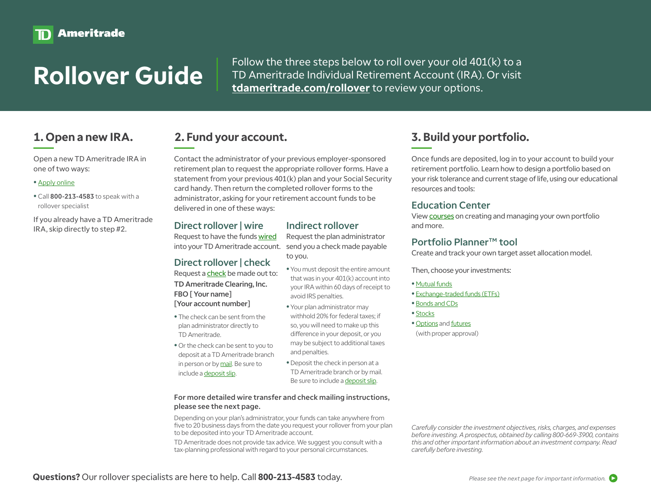Follow the three steps below to roll over your old 401(k) to a<br>TD Ameritrade Individual Retirement Account (IRA). Or visit TD Ameritrade Individual Retirement Account (IRA). Or visit **[tdameritrade.com/rollover](https://www.tdameritrade.com/retirement-planning/rollover-ira.page?cid=VANTDAARLLOVR0219)** to review your options.

Open a new TD Ameritrade IRA in one of two ways:

#### • [Apply online](https://invest.tdameritrade.com/grid/p/accountApplication)

• Call 800-213-4583 to speak with a rollover specialist

If you already have a TD Ameritrade IRA, skip directly to step #2.

## **1. Open a new IRA. 2. Fund your account.**

Contact the administrator of your previous employer-sponsored retirement plan to request the appropriate rollover forms. Have a statement from your previous 401(k) plan and your Social Security card handy. Then return the completed rollover forms to the administrator, asking for your retirement account funds to be delivered in one of these ways:

## Direct rollover | wire

Request to have the funds [wired](https://www.tdameritrade.com/funding/funding-wire-transfer.page#1) into your TD Ameritrade account.

## Direct rollover | check

Request a [check](https://www.tdameritrade.com/funding/funding-check.page#1) be made out to: TD Ameritrade Clearing, Inc. FBO [ Your name] [Your account number]

- The check can be sent from the plan administrator directly to TD Ameritrade.
- Or the check can be sent to you to deposit at a TD Ameritrade branch in person or by [mail.](https://www.tdameritrade.com/funding-and-transfers/funding-check.page#2) Be sure to include a [deposit slip](https://www.tdameritrade.com/retail-en_us/resources/pdf/TDA081.pdf).

Request the plan administrator send you a check made payable to you.

Indirect rollover

- You must deposit the entire amount that was in your 401(k) account into your IRA within 60 days of receipt to avoid IRS penalties.
- Your plan administrator may withhold 20% for federal taxes; if so, you will need to make up this difference in your deposit, or you may be subject to additional taxes and penalties.
- •Deposit the check in person at a TD Ameritrade branch or by mail. Be sure to include a [deposit slip.](https://www.tdameritrade.com/retail-en_us/resources/pdf/TDA081.pdf)

#### For more detailed wire transfer and check mailing instructions, please see the next page.

Depending on your plan's administrator, your funds can take anywhere from five to 20 business days from the date you request your rollover from your plan to be deposited into your TD Ameritrade account.

TD Ameritrade does not provide tax advice. We suggest you consult with a tax-planning professional with regard to your personal circumstances.

# **3. Build your portfolio.**

Once funds are deposited, log in to your account to build your retirement portfolio. Learn how to design a portfolio based on your risk tolerance and current stage of life, using our educational resources and tools:

## Education Center

View [course](https://invest.ameritrade.com/grid/p/site#r=jPage/https://education.ameritrade.com/education-web/index.html#/topics/PortfolioManagement?c_name=invest_VENDOR)s on creating and managing your own portfolio and more.

## [Portfolio Planner™ tool](https://invest.ameritrade.com/grid/p/site#r=jPage/cgi-bin/apps/u/PortfolioBuilder)

Create and track your own target asset allocation model.

Then, choose your investments:

#### • [Mutual funds](https://invest.ameritrade.com/grid/p/site#r=jPage/https://research.ameritrade.com/grid/wwws/mutualfunds/overview/overview.asp?c_name=invest_VENDOR)

- [Exchange-traded funds \(ETFs\)](https://invest.ameritrade.com/grid/p/site#r=jPage/https://research.ameritrade.com/grid/wwws/etfs/overview/overview.asp?c_name=invest_VENDOR)
- [Bonds and CDs](https://invest.ameritrade.com/grid/p/site#r=jPage/https://valubond.ameritrade.com/wsi/data/company/tdat/Overview.asp?c_name=invest_VENDOR)
- [Stocks](https://invest.ameritrade.com/grid/p/site#r=jPage/cgi-bin/apps/u/EnhancedEquityTrade)
- [Options](https://invest.ameritrade.com/grid/p/site#r=jPage/cgi-bin/apps/u/EnhancedOptionTrade) and [futures](https://invest.ameritrade.com/grid/p/site#r=jPage/cgi-bin/apps/u/FuturesTrade)
- (with proper approval)

*Carefully consider the investment objectives, risks, charges, and expenses before investing. A prospectus, obtained by calling 800-669-3900, contains this and other important information about an investment company. Read carefully before investing.*